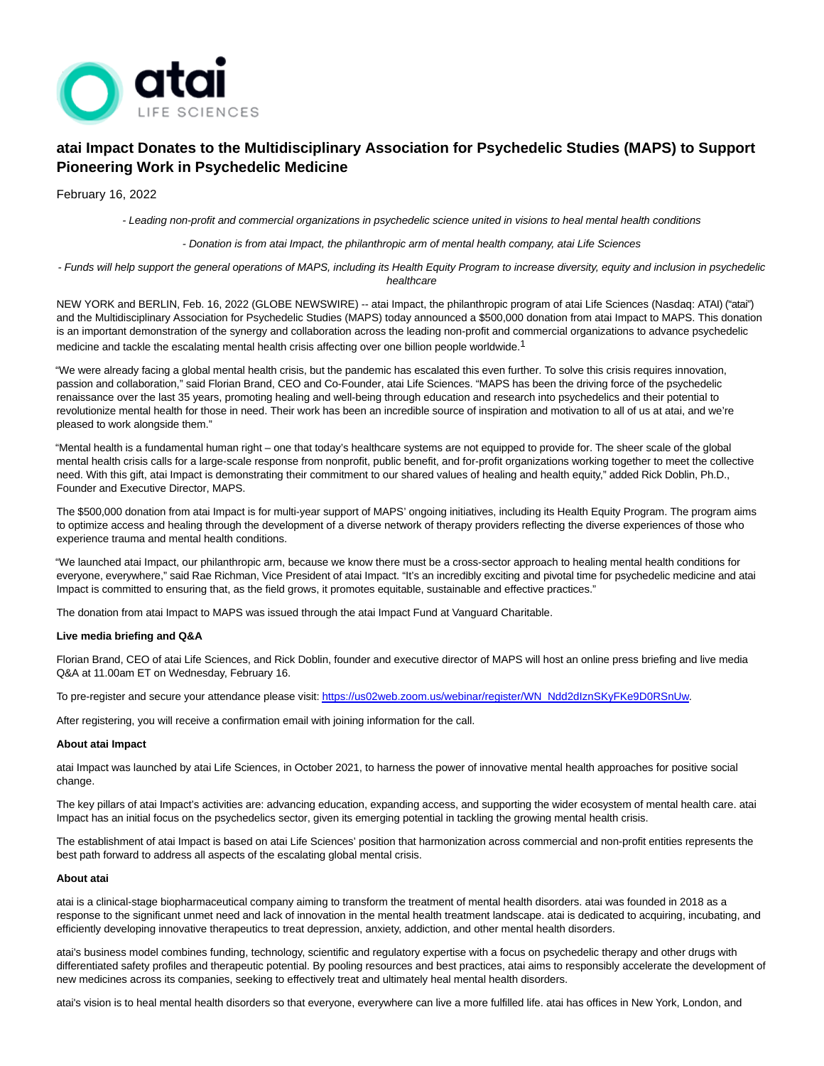

# **atai Impact Donates to the Multidisciplinary Association for Psychedelic Studies (MAPS) to Support Pioneering Work in Psychedelic Medicine**

February 16, 2022

- Leading non-profit and commercial organizations in psychedelic science united in visions to heal mental health conditions

- Donation is from atai Impact, the philanthropic arm of mental health company, atai Life Sciences

- Funds will help support the general operations of MAPS, including its Health Equity Program to increase diversity, equity and inclusion in psychedelic healthcare

NEW YORK and BERLIN, Feb. 16, 2022 (GLOBE NEWSWIRE) -- atai Impact, the philanthropic program of atai Life Sciences (Nasdaq: ATAI) ("atai") and the Multidisciplinary Association for Psychedelic Studies (MAPS) today announced a \$500,000 donation from atai Impact to MAPS. This donation is an important demonstration of the synergy and collaboration across the leading non-profit and commercial organizations to advance psychedelic medicine and tackle the escalating mental health crisis affecting over one billion people worldwide.<sup>1</sup>

"We were already facing a global mental health crisis, but the pandemic has escalated this even further. To solve this crisis requires innovation, passion and collaboration," said Florian Brand, CEO and Co-Founder, atai Life Sciences. "MAPS has been the driving force of the psychedelic renaissance over the last 35 years, promoting healing and well-being through education and research into psychedelics and their potential to revolutionize mental health for those in need. Their work has been an incredible source of inspiration and motivation to all of us at atai, and we're pleased to work alongside them."

"Mental health is a fundamental human right – one that today's healthcare systems are not equipped to provide for. The sheer scale of the global mental health crisis calls for a large-scale response from nonprofit, public benefit, and for-profit organizations working together to meet the collective need. With this gift, atai Impact is demonstrating their commitment to our shared values of healing and health equity," added Rick Doblin, Ph.D., Founder and Executive Director, MAPS.

The \$500,000 donation from atai Impact is for multi-year support of MAPS' ongoing initiatives, including its Health Equity Program. The program aims to optimize access and healing through the development of a diverse network of therapy providers reflecting the diverse experiences of those who experience trauma and mental health conditions.

"We launched atai Impact, our philanthropic arm, because we know there must be a cross-sector approach to healing mental health conditions for everyone, everywhere," said Rae Richman, Vice President of atai Impact. "It's an incredibly exciting and pivotal time for psychedelic medicine and atai Impact is committed to ensuring that, as the field grows, it promotes equitable, sustainable and effective practices."

The donation from atai Impact to MAPS was issued through the atai Impact Fund at Vanguard Charitable.

## **Live media briefing and Q&A**

Florian Brand, CEO of atai Life Sciences, and Rick Doblin, founder and executive director of MAPS will host an online press briefing and live media Q&A at 11.00am ET on Wednesday, February 16.

To pre-register and secure your attendance please visit[: https://us02web.zoom.us/webinar/register/WN\\_Ndd2dIznSKyFKe9D0RSnUw.](https://www.globenewswire.com/Tracker?data=WjocGgRdGVPfhc9C_h2_GekTT3IrikRmclY-RqwCQ0BzM9fhLe1rVOab5u-AEROqtlmLaBXbRdIgZS0SrE2SsKVlDq9jgzt4NfJSKOX6UWVzzIVJlh3Ini7csWBGpnJ2iRCtMMXdsY1sdQzGR3YQWKHc_5PG-kJCJPc1WvoivL3i-0jbX22-DrzKsY64xbCTqEkAL9RbZUXVy6SH3Dqu5w==)

After registering, you will receive a confirmation email with joining information for the call.

#### **About atai Impact**

atai Impact was launched by atai Life Sciences, in October 2021, to harness the power of innovative mental health approaches for positive social change.

The key pillars of atai Impact's activities are: advancing education, expanding access, and supporting the wider ecosystem of mental health care. atai Impact has an initial focus on the psychedelics sector, given its emerging potential in tackling the growing mental health crisis.

The establishment of atai Impact is based on atai Life Sciences' position that harmonization across commercial and non-profit entities represents the best path forward to address all aspects of the escalating global mental crisis.

#### **About atai**

atai is a clinical-stage biopharmaceutical company aiming to transform the treatment of mental health disorders. atai was founded in 2018 as a response to the significant unmet need and lack of innovation in the mental health treatment landscape. atai is dedicated to acquiring, incubating, and efficiently developing innovative therapeutics to treat depression, anxiety, addiction, and other mental health disorders.

atai's business model combines funding, technology, scientific and regulatory expertise with a focus on psychedelic therapy and other drugs with differentiated safety profiles and therapeutic potential. By pooling resources and best practices, atai aims to responsibly accelerate the development of new medicines across its companies, seeking to effectively treat and ultimately heal mental health disorders.

atai's vision is to heal mental health disorders so that everyone, everywhere can live a more fulfilled life. atai has offices in New York, London, and